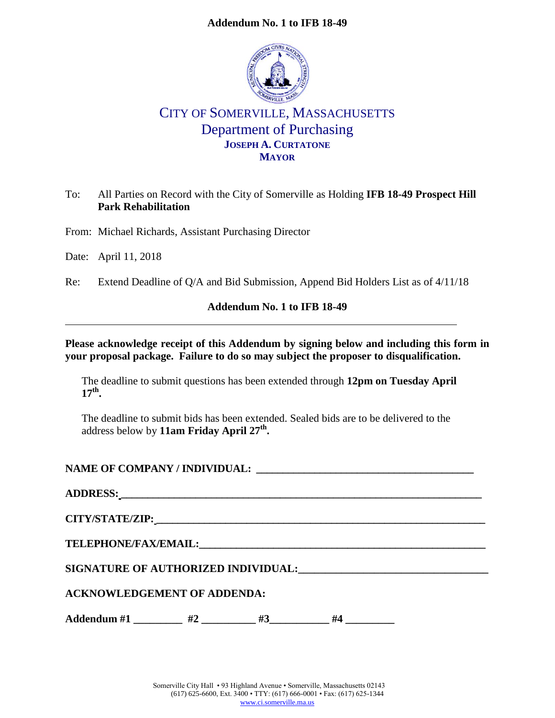## **Addendum No. 1 to IFB 18-49**



# CITY OF SOMERVILLE, MASSACHUSETTS Department of Purchasing **JOSEPH A. CURTATONE MAYOR**

# To: All Parties on Record with the City of Somerville as Holding **IFB 18-49 Prospect Hill Park Rehabilitation**

From: Michael Richards, Assistant Purchasing Director

Date: April 11, 2018

Re: Extend Deadline of Q/A and Bid Submission, Append Bid Holders List as of 4/11/18

### **Addendum No. 1 to IFB 18-49**

### **Please acknowledge receipt of this Addendum by signing below and including this form in your proposal package. Failure to do so may subject the proposer to disqualification.**

The deadline to submit questions has been extended through **12pm on Tuesday April 17th .**

The deadline to submit bids has been extended. Sealed bids are to be delivered to the address below by **11am Friday April 27th .**

NAME OF COMPANY / INDIVIDUAL:

| <b>ADDRESS:</b> |  |  |
|-----------------|--|--|
|                 |  |  |

**CITY/STATE/ZIP: \_\_\_\_\_\_\_\_\_\_\_\_\_\_\_\_\_\_\_\_\_\_\_\_\_\_\_\_\_\_\_\_\_\_\_\_\_\_\_\_\_\_\_\_\_\_\_\_\_\_\_\_\_\_\_\_\_\_\_\_\_\_**

 $\sf TELEPHONE/FAX/EMAIL:$ 

**SIGNATURE OF AUTHORIZED INDIVIDUAL:\_\_\_\_\_\_\_\_\_\_\_\_\_\_\_\_\_\_\_\_\_\_\_\_\_\_\_\_\_\_\_\_\_\_\_**

# **ACKNOWLEDGEMENT OF ADDENDA:**

Addendum #1  $#2$   $#3$   $#4$